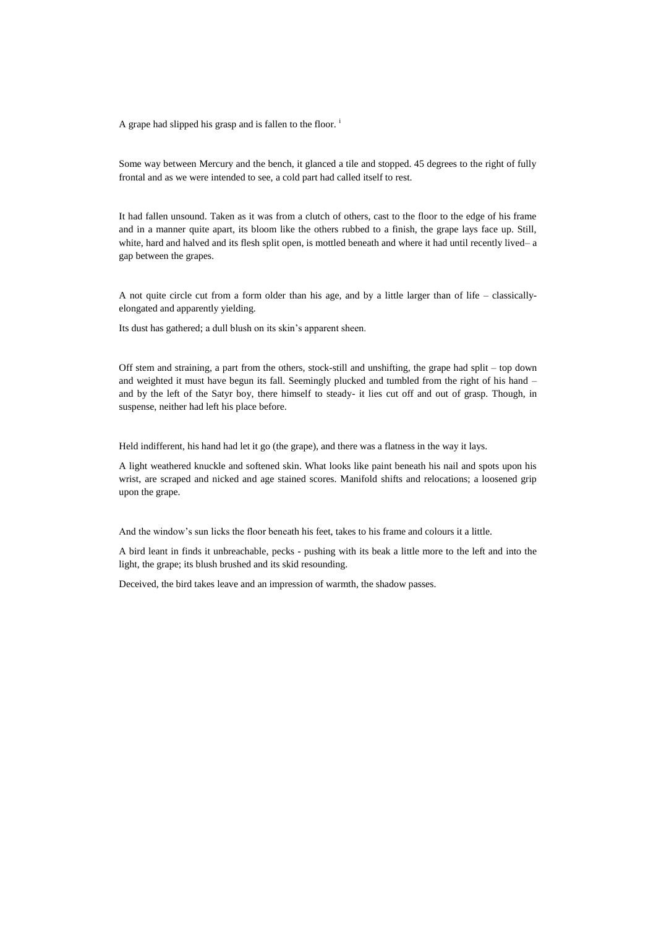A grape had slipped his grasp and is fallen to the floor.<sup>i</sup>

Some way between Mercury and the bench, it glanced a tile and stopped. 45 degrees to the right of fully frontal and as we were intended to see, a cold part had called itself to rest.

It had fallen unsound. Taken as it was from a clutch of others, cast to the floor to the edge of his frame and in a manner quite apart, its bloom like the others rubbed to a finish, the grape lays face up. Still, white, hard and halved and its flesh split open, is mottled beneath and where it had until recently lived– a gap between the grapes.

A not quite circle cut from a form older than his age, and by a little larger than of life – classicallyelongated and apparently yielding.

Its dust has gathered; a dull blush on its skin's apparent sheen.

Off stem and straining, a part from the others, stock-still and unshifting, the grape had split – top down and weighted it must have begun its fall. Seemingly plucked and tumbled from the right of his hand – and by the left of the Satyr boy, there himself to steady- it lies cut off and out of grasp. Though, in suspense, neither had left his place before.

Held indifferent, his hand had let it go (the grape), and there was a flatness in the way it lays.

A light weathered knuckle and softened skin. What looks like paint beneath his nail and spots upon his wrist, are scraped and nicked and age stained scores. Manifold shifts and relocations; a loosened grip upon the grape.

And the window's sun licks the floor beneath his feet, takes to his frame and colours it a little.

A bird leant in finds it unbreachable, pecks - pushing with its beak a little more to the left and into the light, the grape; its blush brushed and its skid resounding.

Deceived, the bird takes leave and an impression of warmth, the shadow passes.